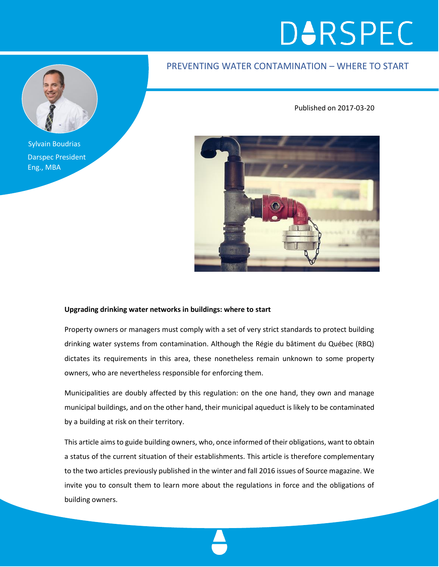# **D**URSPEC

### PREVENTING WATER CONTAMINATION – WHERE TO START

Published on 2017-03-20

Sylvain Boudrias Darspec President Eng., MBA



#### **Upgrading drinking water networks in buildings: where to start**

Property owners or managers must comply with a set of very strict standards to protect building drinking water systems from contamination. Although the Régie du bâtiment du Québec (RBQ) dictates its requirements in this area, these nonetheless remain unknown to some property owners, who are nevertheless responsible for enforcing them.

Municipalities are doubly affected by this regulation: on the one hand, they own and manage municipal buildings, and on the other hand, their municipal aqueduct is likely to be contaminated by a building at risk on their territory.

This article aims to guide building owners, who, once informed of their obligations, want to obtain a status of the current situation of their establishments. This article is therefore complementary to the two articles previously published in the winter and fall 2016 issues of Source magazine. We invite you to consult them to learn more about the regulations in force and the obligations of building owners.

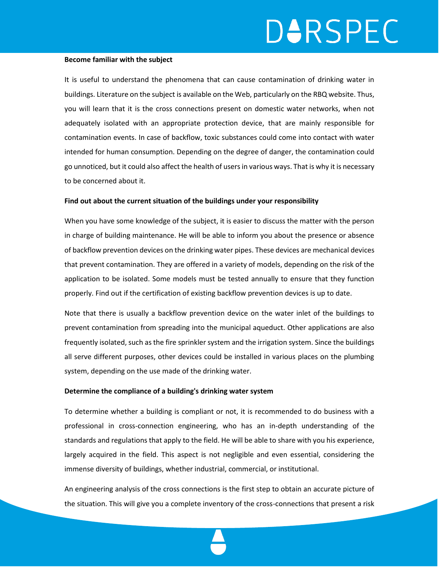## **DARSPEC**

#### **Become familiar with the subject**

It is useful to understand the phenomena that can cause contamination of drinking water in buildings. Literature on the subject is available on the Web, particularly on the RBQ website. Thus, you will learn that it is the cross connections present on domestic water networks, when not adequately isolated with an appropriate protection device, that are mainly responsible for contamination events. In case of backflow, toxic substances could come into contact with water intended for human consumption. Depending on the degree of danger, the contamination could go unnoticed, but it could also affect the health of users in various ways. That is why it is necessary to be concerned about it.

#### **Find out about the current situation of the buildings under your responsibility**

When you have some knowledge of the subject, it is easier to discuss the matter with the person in charge of building maintenance. He will be able to inform you about the presence or absence of backflow prevention devices on the drinking water pipes. These devices are mechanical devices that prevent contamination. They are offered in a variety of models, depending on the risk of the application to be isolated. Some models must be tested annually to ensure that they function properly. Find out if the certification of existing backflow prevention devices is up to date.

Note that there is usually a backflow prevention device on the water inlet of the buildings to prevent contamination from spreading into the municipal aqueduct. Other applications are also frequently isolated, such as the fire sprinkler system and the irrigation system. Since the buildings all serve different purposes, other devices could be installed in various places on the plumbing system, depending on the use made of the drinking water.

#### **Determine the compliance of a building's drinking water system**

To determine whether a building is compliant or not, it is recommended to do business with a professional in cross-connection engineering, who has an in-depth understanding of the standards and regulations that apply to the field. He will be able to share with you his experience, largely acquired in the field. This aspect is not negligible and even essential, considering the immense diversity of buildings, whether industrial, commercial, or institutional.

An engineering analysis of the cross connections is the first step to obtain an accurate picture of the situation. This will give you a complete inventory of the cross-connections that present a risk